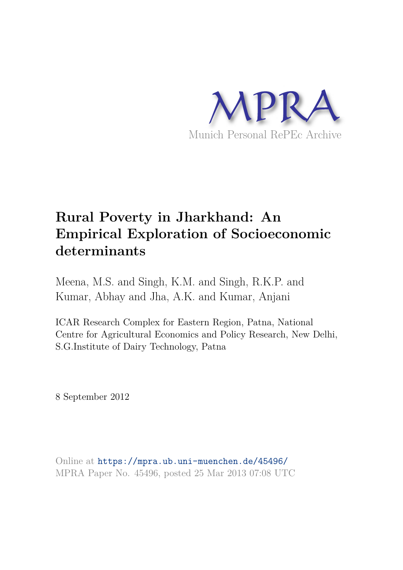

# **Rural Poverty in Jharkhand: An Empirical Exploration of Socioeconomic determinants**

Meena, M.S. and Singh, K.M. and Singh, R.K.P. and Kumar, Abhay and Jha, A.K. and Kumar, Anjani

ICAR Research Complex for Eastern Region, Patna, National Centre for Agricultural Economics and Policy Research, New Delhi, S.G.Institute of Dairy Technology, Patna

8 September 2012

Online at https://mpra.ub.uni-muenchen.de/45496/ MPRA Paper No. 45496, posted 25 Mar 2013 07:08 UTC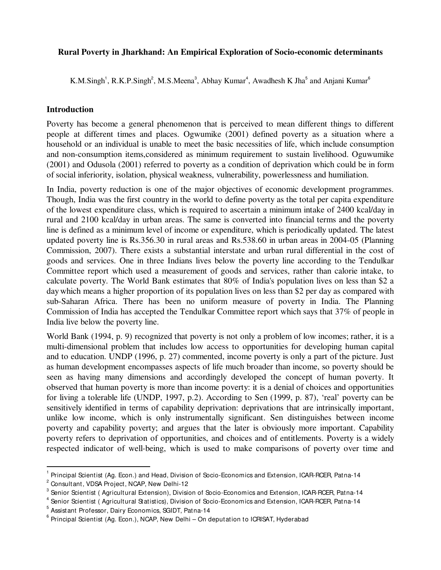#### **Rural Poverty in Jharkhand: An Empirical Exploration of Socio-economic determinants**

K.M.Singh<sup>1</sup>, R.K.P.Singh<sup>2</sup>, M.S.Meena<sup>3</sup>, Abhay Kumar<sup>4</sup>, Awadhesh K Jha<sup>5</sup> and Anjani Kumar<sup>6</sup>

#### **Introduction**

Poverty has become a general phenomenon that is perceived to mean different things to different people at different times and places. Ogwumike (2001) defined poverty as a situation where a household or an individual is unable to meet the basic necessities of life, which include consumption and non-consumption items,considered as minimum requirement to sustain livelihood. Oguwumike (2001) and Odusola (2001) referred to poverty as a condition of deprivation which could be in form of social inferiority, isolation, physical weakness, vulnerability, powerlessness and humiliation.

In India, poverty reduction is one of the major objectives of economic development programmes. Though, India was the first country in the world to define poverty as the total per capita expenditure of the lowest expenditure class, which is required to ascertain a minimum intake of 2400 kcal/day in rural and 2100 kcal/day in urban areas. The same is converted into financial terms and the poverty line is defined as a minimum level of income or expenditure, which is periodically updated. The latest updated poverty line is Rs.356.30 in rural areas and Rs.538.60 in urban areas in 2004-05 (Planning Commission, 2007). There exists a substantial interstate and urban rural differential in the cost of goods and services. One in three Indians lives below the poverty line according to the Tendulkar Committee report which used a measurement of goods and services, rather than calorie intake, to calculate poverty. The World Bank estimates that 80% of India's population lives on less than \$2 a daywhich means a higher proportion of its population lives on less than \$2 per day as compared with sub-Saharan Africa. There has been no uniform measure of poverty in India. The Planning Commission of India has accepted the Tendulkar Committee report which says that 37% of people in India live below the poverty line.

World Bank (1994, p. 9) recognized that poverty is not only a problem of low incomes; rather, it is a multi-dimensional problem that includes low access to opportunities for developing human capital and to education. UNDP (1996, p. 27) commented, income poverty is only a part of the picture. Just as human development encompasses aspects of life much broader than income, so poverty should be seen as having many dimensions and accordingly developed the concept of human poverty. It observed that human poverty is more than income poverty: it is a denial of choices and opportunities for living a tolerable life (UNDP, 1997, p.2). According to Sen (1999, p. 87), 'real' poverty can be sensitively identified in terms of capability deprivation: deprivations that are intrinsically important, unlike low income, which is only instrumentally significant. Sen distinguishes between income poverty and capability poverty; and argues that the later is obviously more important. Capability poverty refers to deprivation of opportunities, and choices and of entitlements. Poverty is a widely respected indicator of well-being, which is used to make comparisons of poverty over time and

-

<sup>&</sup>lt;sup>1</sup> Principal Scientist (Ag. Econ.) and Head, Division of Socio-Economics and Extension, ICAR-RCER, Patna-14

<sup>&</sup>lt;sup>2</sup> Consultant, VDSA Project, NCAP, New Delhi-12

 $^3$  Senior Scientist ( Agricultural Extension), Division of Socio-Economics and Extension, ICAR-RCER, Patna-14

 $^4$  Senior Scientist ( Agricultural Statistics), Division of Socio-Economics and Extension, ICAR-RCER, Patna-14

<sup>5</sup> Assistant Professor, Dairy Economics, SGIDT, Patna-14

 $^6$  Principal Scientist (Ag. Econ.), NCAP, New Delhi – On deputation to ICRISAT, Hyderabad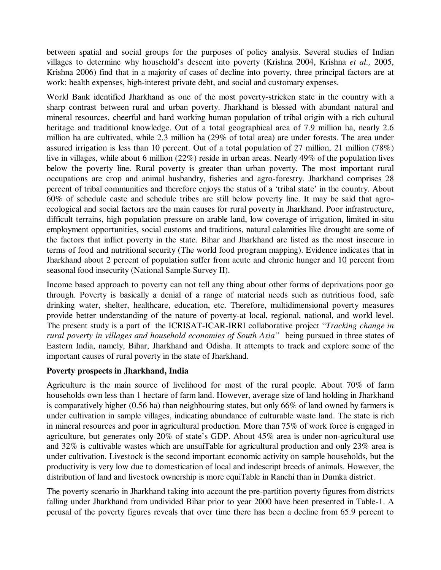between spatial and social groups for the purposes of policy analysis. Several studies of Indian villages to determine why household's descent into poverty (Krishna 2004, Krishna *et al.,* 2005, Krishna 2006) find that in a majority of cases of decline into poverty, three principal factors are at work: health expenses, high-interest private debt, and social and customary expenses.

World Bank identified Jharkhand as one of the most poverty-stricken state in the country with a sharp contrast between rural and urban poverty. Jharkhand is blessed with abundant natural and mineral resources, cheerful and hard working human population of tribal origin with a rich cultural heritage and traditional knowledge. Out of a total geographical area of 7.9 million ha, nearly 2.6 million ha are cultivated, while 2.3 million ha (29% of total area) are under forests. The area under assured irrigation is less than 10 percent. Out of a total population of 27 million, 21 million (78%) live in villages, while about 6 million (22%) reside in urban areas. Nearly 49% of the population lives below the poverty line. Rural poverty is greater than urban poverty. The most important rural occupations are crop and animal husbandry, fisheries and agro-forestry. Jharkhand comprises 28 percent of tribal communities and therefore enjoys the status of a 'tribal state' in the country. About 60% of schedule caste and schedule tribes are still below poverty line. It may be said that agroecological and social factors are the main causes for rural poverty in Jharkhand. Poor infrastructure, difficult terrains, high population pressure on arable land, low coverage of irrigation, limited in-situ employment opportunities, social customs and traditions, natural calamities like drought are some of the factors that inflict poverty in the state. Bihar and Jharkhand are listed as the most insecure in terms of food and nutritional security (The world food program mapping). Evidence indicates that in Jharkhand about 2 percent of population suffer from acute and chronic hunger and 10 percent from seasonal food insecurity (National Sample Survey II).

Income based approach to poverty can not tell any thing about other forms of deprivations poor go through. Poverty is basically a denial of a range of material needs such as nutritious food, safe drinking water, shelter, healthcare, education, etc. Therefore, multidimensional poverty measures provide better understanding of the nature of poverty-at local, regional, national, and world level. The present study is a part of the ICRISAT-ICAR-IRRI collaborative project "*Tracking change in rural poverty in villages and household economies of South Asia"* being pursued in three states of Eastern India, namely, Bihar, Jharkhand and Odisha. It attempts to track and explore some of the important causes of rural poverty in the state of Jharkhand.

## **Poverty prospects in Jharkhand, India**

Agriculture is the main source of livelihood for most of the rural people. About 70% of farm households own less than 1 hectare of farm land. However, average size of land holding in Jharkhand is comparatively higher (0.56 ha) than neighbouring states, but only 66% of land owned by farmers is under cultivation in sample villages, indicating abundance of culturable waste land. The state is rich in mineral resources and poor in agricultural production. More than 75% of work force is engaged in agriculture, but generates only 20% of state's GDP. About 45% area is under non-agricultural use and 32% is cultivable wastes which are unsuiTable for agricultural production and only 23% area is under cultivation. Livestock is the second important economic activity on sample households, but the productivity is very low due to domestication of local and indescript breeds of animals. However, the distribution of land and livestock ownership is more equiTable in Ranchi than in Dumka district.

The poverty scenario in Jharkhand taking into account the pre-partition poverty figures from districts falling under Jharkhand from undivided Bihar prior to year 2000 have been presented in Table-1. A perusal of the poverty figures reveals that over time there has been a decline from 65.9 percent to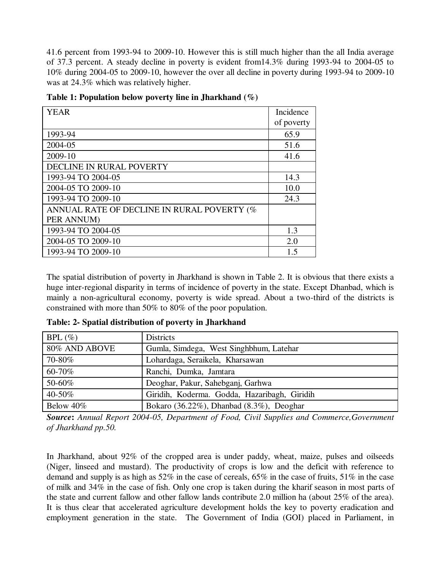41.6 percent from 1993-94 to 2009-10. However this is still much higher than the all India average of 37.3 percent. A steady decline in poverty is evident from14.3% during 1993-94 to 2004-05 to 10% during 2004-05 to 2009-10, however the over all decline in poverty during 1993-94 to 2009-10 was at 24.3% which was relatively higher.

| Table 1: Population below poverty line in Jharkhand $(\%)$ |  |  |  |  |  |  |  |
|------------------------------------------------------------|--|--|--|--|--|--|--|
|------------------------------------------------------------|--|--|--|--|--|--|--|

| <b>YEAR</b>                                | Incidence  |
|--------------------------------------------|------------|
|                                            | of poverty |
| 1993-94                                    | 65.9       |
| 2004-05                                    | 51.6       |
| 2009-10                                    | 41.6       |
| DECLINE IN RURAL POVERTY                   |            |
| 1993-94 TO 2004-05                         | 14.3       |
| 2004-05 TO 2009-10                         | 10.0       |
| 1993-94 TO 2009-10                         | 24.3       |
| ANNUAL RATE OF DECLINE IN RURAL POVERTY (% |            |
| PER ANNUM)                                 |            |
| 1993-94 TO 2004-05                         | 1.3        |
| 2004-05 TO 2009-10                         | 2.0        |
| 1993-94 TO 2009-10                         | 1.5        |

The spatial distribution of poverty in Jharkhand is shown in Table 2. It is obvious that there exists a huge inter-regional disparity in terms of incidence of poverty in the state. Except Dhanbad, which is mainly a non-agricultural economy, poverty is wide spread. About a two-third of the districts is constrained with more than 50% to 80% of the poor population.

**Table: 2- Spatial distribution of poverty in Jharkhand** 

| $BPL(\%)$     | <b>Districts</b>                             |
|---------------|----------------------------------------------|
| 80% AND ABOVE | Gumla, Simdega, West Singhbhum, Latehar      |
| 70-80%        | Lohardaga, Seraikela, Kharsawan              |
| $60 - 70\%$   | Ranchi, Dumka, Jamtara                       |
| 50-60%        | Deoghar, Pakur, Sahebganj, Garhwa            |
| 40-50%        | Giridih, Koderma. Godda, Hazaribagh, Giridih |
| Below 40%     | Bokaro (36.22%), Dhanbad (8.3%), Deoghar     |

*Source***:** *Annual Report 2004-05, Department of Food, Civil Supplies and Commerce,Government of Jharkhand pp.50.* 

In Jharkhand, about 92% of the cropped area is under paddy, wheat, maize, pulses and oilseeds (Niger, linseed and mustard). The productivity of crops is low and the deficit with reference to demand and supply is as high as 52% in the case of cereals, 65% in the case of fruits, 51% in the case of milk and 34% in the case of fish. Only one crop is taken during the kharif season in most parts of the state and current fallow and other fallow lands contribute 2.0 million ha (about 25% of the area). It is thus clear that accelerated agriculture development holds the key to poverty eradication and employment generation in the state. The Government of India (GOI) placed in Parliament, in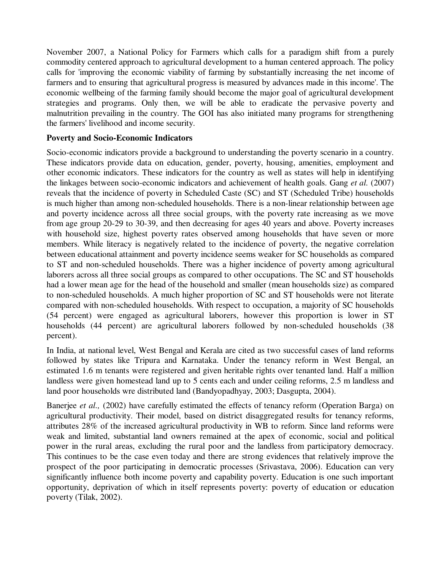November 2007, a National Policy for Farmers which calls for a paradigm shift from a purely commodity centered approach to agricultural development to a human centered approach. The policy calls for 'improving the economic viability of farming by substantially increasing the net income of farmers and to ensuring that agricultural progress is measured by advances made in this income'. The economic wellbeing of the farming family should become the major goal of agricultural development strategies and programs. Only then, we will be able to eradicate the pervasive poverty and malnutrition prevailing in the country. The GOI has also initiated many programs for strengthening the farmers' livelihood and income security.

## **Poverty and Socio-Economic Indicators**

Socio-economic indicators provide a background to understanding the poverty scenario in a country. These indicators provide data on education, gender, poverty, housing, amenities, employment and other economic indicators. These indicators for the country as well as states will help in identifying the linkages between socio-economic indicators and achievement of health goals. Gang *et al.* (2007) reveals that the incidence of poverty in Scheduled Caste (SC) and ST (Scheduled Tribe) households is much higher than among non-scheduled households. There is a non-linear relationship between age and poverty incidence across all three social groups, with the poverty rate increasing as we move from age group 20-29 to 30-39, and then decreasing for ages 40 years and above. Poverty increases with household size, highest poverty rates observed among households that have seven or more members. While literacy is negatively related to the incidence of poverty, the negative correlation between educational attainment and poverty incidence seems weaker for SC households as compared to ST and non-scheduled households. There was a higher incidence of poverty among agricultural laborers across all three social groups as compared to other occupations. The SC and ST households had a lower mean age for the head of the household and smaller (mean households size) as compared to non-scheduled households. A much higher proportion of SC and ST households were not literate compared with non-scheduled households. With respect to occupation, a majority of SC households (54 percent) were engaged as agricultural laborers, however this proportion is lower in ST households (44 percent) are agricultural laborers followed by non-scheduled households (38 percent).

In India, at national level, West Bengal and Kerala are cited as two successful cases of land reforms followed by states like Tripura and Karnataka. Under the tenancy reform in West Bengal, an estimated 1.6 m tenants were registered and given heritable rights over tenanted land. Half a million landless were given homestead land up to 5 cents each and under ceiling reforms, 2.5 m landless and land poor households wre distributed land (Bandyopadhyay, 2003; Dasgupta, 2004).

Banerjee *et al.*, (2002) have carefully estimated the effects of tenancy reform (Operation Barga) on agricultural productivity. Their model, based on district disaggregated results for tenancy reforms, attributes 28% of the increased agricultural productivity in WB to reform. Since land reforms were weak and limited, substantial land owners remained at the apex of economic, social and political power in the rural areas, excluding the rural poor and the landless from participatory democracy. This continues to be the case even today and there are strong evidences that relatively improve the prospect of the poor participating in democratic processes (Srivastava, 2006). Education can very significantly influence both income poverty and capability poverty. Education is one such important opportunity, deprivation of which in itself represents poverty: poverty of education or education poverty (Tilak, 2002).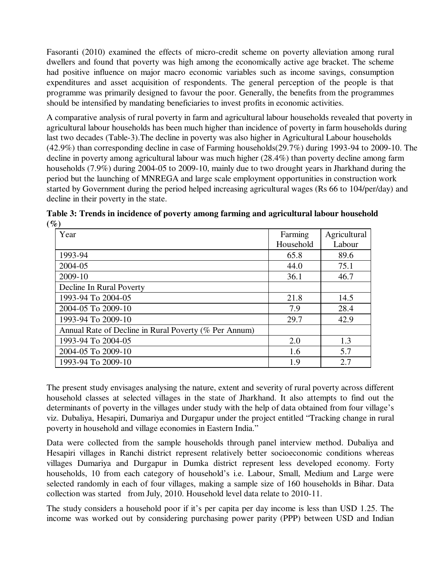Fasoranti (2010) examined the effects of micro-credit scheme on poverty alleviation among rural dwellers and found that poverty was high among the economically active age bracket. The scheme had positive influence on major macro economic variables such as income savings, consumption expenditures and asset acquisition of respondents. The general perception of the people is that programme was primarily designed to favour the poor. Generally, the benefits from the programmes should be intensified by mandating beneficiaries to invest profits in economic activities.

A comparative analysis of rural poverty in farm and agricultural labour households revealed that poverty in agricultural labour households has been much higher than incidence of poverty in farm households during last two decades (Table-3).The decline in poverty was also higher in Agricultural Labour households (42.9%) than corresponding decline in case of Farming households(29.7%) during 1993-94 to 2009-10. The decline in poverty among agricultural labour was much higher (28.4%) than poverty decline among farm households (7.9%) during 2004-05 to 2009-10, mainly due to two drought years in Jharkhand during the period but the launching of MNREGA and large scale employment opportunities in construction work started by Government during the period helped increasing agricultural wages (Rs 66 to 104/per/day) and decline in their poverty in the state.

**Table 3: Trends in incidence of poverty among farming and agricultural labour household**   $(\%)$ 

| Year                                                  | Farming   | Agricultural |
|-------------------------------------------------------|-----------|--------------|
|                                                       | Household | Labour       |
| 1993-94                                               | 65.8      | 89.6         |
| 2004-05                                               | 44.0      | 75.1         |
| 2009-10                                               | 36.1      | 46.7         |
| Decline In Rural Poverty                              |           |              |
| 1993-94 To 2004-05                                    | 21.8      | 14.5         |
| 2004-05 To 2009-10                                    | 7.9       | 28.4         |
| 1993-94 To 2009-10                                    | 29.7      | 42.9         |
| Annual Rate of Decline in Rural Poverty (% Per Annum) |           |              |
| 1993-94 To 2004-05                                    | 2.0       | 1.3          |
| 2004-05 To 2009-10                                    | 1.6       | 5.7          |
| 1993-94 To 2009-10                                    | 1.9       | 2.7          |

The present study envisages analysing the nature, extent and severity of rural poverty across different household classes at selected villages in the state of Jharkhand. It also attempts to find out the determinants of poverty in the villages under study with the help of data obtained from four village's viz. Dubaliya, Hesapiri, Dumariya and Durgapur under the project entitled "Tracking change in rural poverty in household and village economies in Eastern India."

Data were collected from the sample households through panel interview method. Dubaliya and Hesapiri villages in Ranchi district represent relatively better socioeconomic conditions whereas villages Dumariya and Durgapur in Dumka district represent less developed economy. Forty households, 10 from each category of household's i.e. Labour, Small, Medium and Large were selected randomly in each of four villages, making a sample size of 160 households in Bihar. Data collection was started from July, 2010. Household level data relate to 2010-11.

The study considers a household poor if it's per capita per day income is less than USD 1.25. The income was worked out by considering purchasing power parity (PPP) between USD and Indian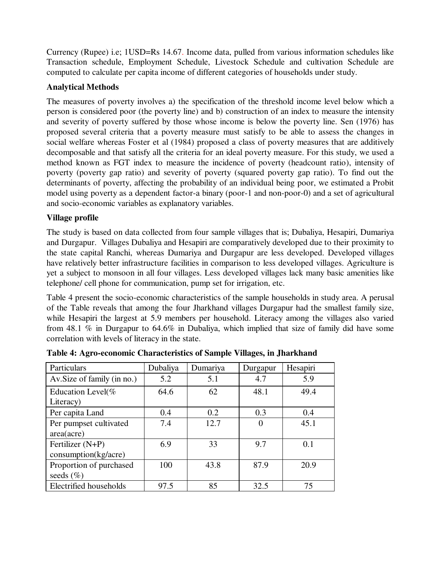Currency (Rupee) i.e; 1USD=Rs 14.67. Income data, pulled from various information schedules like Transaction schedule, Employment Schedule, Livestock Schedule and cultivation Schedule are computed to calculate per capita income of different categories of households under study.

## **Analytical Methods**

The measures of poverty involves a) the specification of the threshold income level below which a person is considered poor (the poverty line) and b) construction of an index to measure the intensity and severity of poverty suffered by those whose income is below the poverty line. Sen (1976) has proposed several criteria that a poverty measure must satisfy to be able to assess the changes in social welfare whereas Foster et al (1984) proposed a class of poverty measures that are additively decomposable and that satisfy all the criteria for an ideal poverty measure. For this study, we used a method known as FGT index to measure the incidence of poverty (headcount ratio), intensity of poverty (poverty gap ratio) and severity of poverty (squared poverty gap ratio). To find out the determinants of poverty, affecting the probability of an individual being poor, we estimated a Probit model using poverty as a dependent factor-a binary (poor-1 and non-poor-0) and a set of agricultural and socio-economic variables as explanatory variables.

## **Village profile**

The study is based on data collected from four sample villages that is; Dubaliya, Hesapiri, Dumariya and Durgapur. Villages Dubaliya and Hesapiri are comparatively developed due to their proximity to the state capital Ranchi, whereas Dumariya and Durgapur are less developed. Developed villages have relatively better infrastructure facilities in comparison to less developed villages. Agriculture is yet a subject to monsoon in all four villages. Less developed villages lack many basic amenities like telephone/ cell phone for communication, pump set for irrigation, etc.

Table 4 present the socio-economic characteristics of the sample households in study area. A perusal of the Table reveals that among the four Jharkhand villages Durgapur had the smallest family size, while Hesapiri the largest at 5.9 members per household. Literacy among the villages also varied from 48.1 % in Durgapur to 64.6% in Dubaliya, which implied that size of family did have some correlation with levels of literacy in the state.

| Particulars                 | Dubaliya | Dumariya | Durgapur | Hesapiri |
|-----------------------------|----------|----------|----------|----------|
| Av. Size of family (in no.) | 5.2      | 5.1      | 4.7      | 5.9      |
| Education Level(%           | 64.6     | 62       | 48.1     | 49.4     |
| Literacy)                   |          |          |          |          |
| Per capita Land             | 0.4      | 0.2      | 0.3      | 0.4      |
| Per pumpset cultivated      | 7.4      | 12.7     | 0        | 45.1     |
| area(acre)                  |          |          |          |          |
| Fertilizer (N+P)            | 6.9      | 33       | 9.7      | 0.1      |
| consumption(kg/acre)        |          |          |          |          |
| Proportion of purchased     | 100      | 43.8     | 87.9     | 20.9     |
| seeds $(\% )$               |          |          |          |          |
| Electrified households      | 97.5     | 85       | 32.5     | 75       |

**Table 4: Agro-economic Characteristics of Sample Villages, in Jharkhand**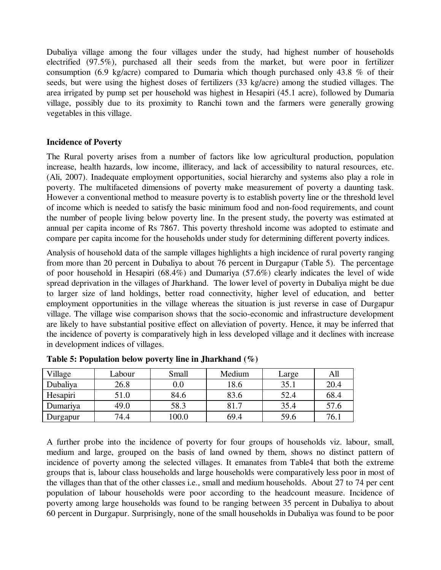Dubaliya village among the four villages under the study, had highest number of households electrified (97.5%), purchased all their seeds from the market, but were poor in fertilizer consumption (6.9 kg/acre) compared to Dumaria which though purchased only 43.8 % of their seeds, but were using the highest doses of fertilizers (33 kg/acre) among the studied villages. The area irrigated by pump set per household was highest in Hesapiri (45.1 acre), followed by Dumaria village, possibly due to its proximity to Ranchi town and the farmers were generally growing vegetables in this village.

## **Incidence of Poverty**

The Rural poverty arises from a number of factors like low agricultural production, population increase, health hazards, low income, illiteracy, and lack of accessibility to natural resources, etc. (Ali, 2007). Inadequate employment opportunities, social hierarchy and systems also play a role in poverty. The multifaceted dimensions of poverty make measurement of poverty a daunting task. However a conventional method to measure poverty is to establish poverty line or the threshold level of income which is needed to satisfy the basic minimum food and non-food requirements, and count the number of people living below poverty line. In the present study, the poverty was estimated at annual per capita income of Rs 7867. This poverty threshold income was adopted to estimate and compare per capita income for the households under study for determining different poverty indices.

Analysis of household data of the sample villages highlights a high incidence of rural poverty ranging from more than 20 percent in Dubaliya to about 76 percent in Durgapur (Table 5). The percentage of poor household in Hesapiri (68.4%) and Dumariya (57.6%) clearly indicates the level of wide spread deprivation in the villages of Jharkhand. The lower level of poverty in Dubaliya might be due to larger size of land holdings, better road connectivity, higher level of education, and better employment opportunities in the village whereas the situation is just reverse in case of Durgapur village. The village wise comparison shows that the socio-economic and infrastructure development are likely to have substantial positive effect on alleviation of poverty. Hence, it may be inferred that the incidence of poverty is comparatively high in less developed village and it declines with increase in development indices of villages.

| Village  | Labour | Small   | Medium | Large | All  |
|----------|--------|---------|--------|-------|------|
| Dubaliya | 26.8   | $0.0\,$ | 18.6   | 35.1  | 20.4 |
| Hesapiri | 51.0   | 84.6    | 83.6   | 52.4  | 68.4 |
| Dumariya | 49.0   | 58.3    | 81.7   | 35.4  | 57.6 |
| Durgapur | 74.4   | 100.0   | 69.4   | 59.6  | 76.1 |

| Table 5: Population below poverty line in Jharkhand $(\%)$ |  |  |  |
|------------------------------------------------------------|--|--|--|
|                                                            |  |  |  |

A further probe into the incidence of poverty for four groups of households viz. labour, small, medium and large, grouped on the basis of land owned by them, shows no distinct pattern of incidence of poverty among the selected villages. It emanates from Table4 that both the extreme groups that is, labour class households and large households were comparatively less poor in most of the villages than that of the other classes i.e., small and medium households. About 27 to 74 per cent population of labour households were poor according to the headcount measure. Incidence of poverty among large households was found to be ranging between 35 percent in Dubaliya to about 60 percent in Durgapur. Surprisingly, none of the small households in Dubaliya was found to be poor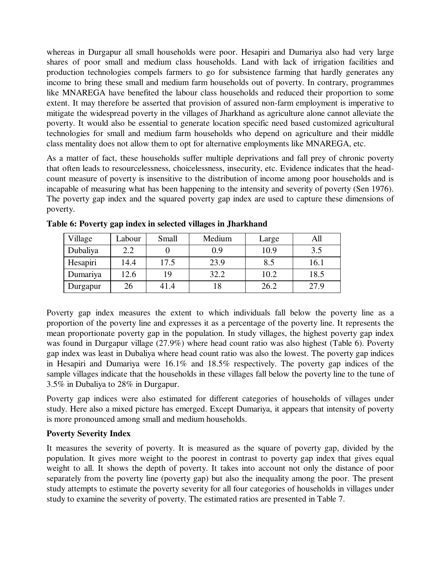whereas in Durgapur all small households were poor. Hesapiri and Dumariya also had very large shares of poor small and medium class households. Land with lack of irrigation facilities and production technologies compels farmers to go for subsistence farming that hardly generates any income to bring these small and medium farm households out of poverty. In contrary, programmes like MNAREGA have benefited the labour class households and reduced their proportion to some extent. It may therefore be asserted that provision of assured non-farm employment is imperative to mitigate the widespread poverty in the villages of Jharkhand as agriculture alone cannot alleviate the poverty. It would also be essential to generate location specific need based customized agricultural technologies for small and medium farm households who depend on agriculture and their middle class mentality does not allow them to opt for alternative employments like MNAREGA, etc.

As a matter of fact, these households suffer multiple deprivations and fall prey of chronic poverty that often leads to resourcelessness, choicelessness, insecurity, etc. Evidence indicates that the headcount measure of poverty is insensitive to the distribution of income among poor households and is incapable of measuring what has been happening to the intensity and severity of poverty (Sen 1976). The poverty gap index and the squared poverty gap index are used to capture these dimensions of poverty.

| Village  | Labour | Small | Medium | Large | All  |
|----------|--------|-------|--------|-------|------|
| Dubaliya | 2.2    |       | 0.9    | 10.9  | 3.5  |
| Hesapiri | 14.4   | 17.5  | 23.9   | 8.5   | 16.1 |
| Dumariya | 12.6   | 19    | 32.2   | 10.2  | 18.5 |
| Durgapur | 26     | 41.4  |        | 26.2  | 27.9 |

**Table 6: Poverty gap index in selected villages in Jharkhand** 

Poverty gap index measures the extent to which individuals fall below the poverty line as a proportion of the poverty line and expresses it as a percentage of the poverty line. It represents the mean proportionate poverty gap in the population. In study villages, the highest poverty gap index was found in Durgapur village (27.9%) where head count ratio was also highest (Table 6). Poverty gap index was least in Dubaliya where head count ratio was also the lowest. The poverty gap indices in Hesapiri and Dumariya were 16.1% and 18.5% respectively. The poverty gap indices of the sample villages indicate that the households in these villages fall below the poverty line to the tune of 3.5% in Dubaliya to 28% in Durgapur.

Poverty gap indices were also estimated for different categories of households of villages under study. Here also a mixed picture has emerged. Except Dumariya, it appears that intensity of poverty is more pronounced among small and medium households.

## **Poverty Severity Index**

It measures the severity of poverty. It is measured as the square of poverty gap, divided by the population. It gives more weight to the poorest in contrast to poverty gap index that gives equal weight to all. It shows the depth of poverty. It takes into account not only the distance of poor separately from the poverty line (poverty gap) but also the inequality among the poor. The present study attempts to estimate the poverty severity for all four categories of households in villages under study to examine the severity of poverty. The estimated ratios are presented in Table 7.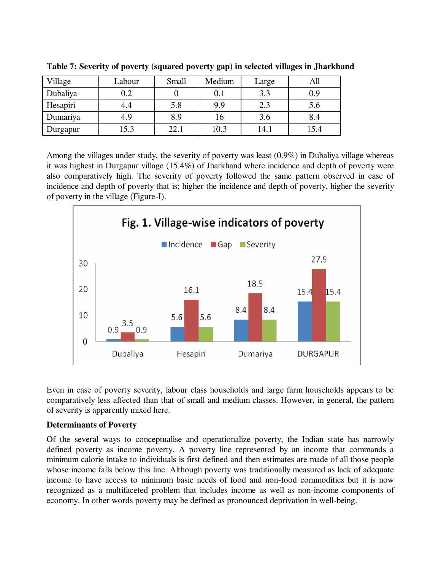| Village  | Labour  | Small | Medium    | Large | All  |
|----------|---------|-------|-----------|-------|------|
| Dubaliya | $0.2\,$ |       | $\rm 0.1$ | 3.3   | 0.9  |
| Hesapiri | 4.4     | 5.8   | 9.9       | 2.3   | 5.6  |
| Dumariya | 4.9     | 8.9   | 16        | 3.6   | 8.4  |
| Durgapur | 15.3    | 22.1  | 10.3      | 14.1  | 15.4 |

**Table 7: Severity of poverty (squared poverty gap) in selected villages in Jharkhand** 

Among the villages under study, the severity of poverty was least (0.9%) in Dubaliya village whereas it was highest in Durgapur village (15.4%) of Jharkhand where incidence and depth of poverty were also comparatively high. The severity of poverty followed the same pattern observed in case of incidence and depth of poverty that is; higher the incidence and depth of poverty, higher the severity of poverty in the village (Figure-I).



Even in case of poverty severity, labour class households and large farm households appears to be comparatively less affected than that of small and medium classes. However, in general, the pattern of severity is apparently mixed here.

## **Determinants of Poverty**

Of the several ways to conceptualise and operationalize poverty, the Indian state has narrowly defined poverty as income poverty. A poverty line represented by an income that commands a minimum calorie intake to individuals is first defined and then estimates are made of all those people whose income falls below this line. Although poverty was traditionally measured as lack of adequate income to have access to minimum basic needs of food and non-food commodities but it is now recognized as a multifaceted problem that includes income as well as non-income components of economy. In other words poverty may be defined as pronounced deprivation in well-being.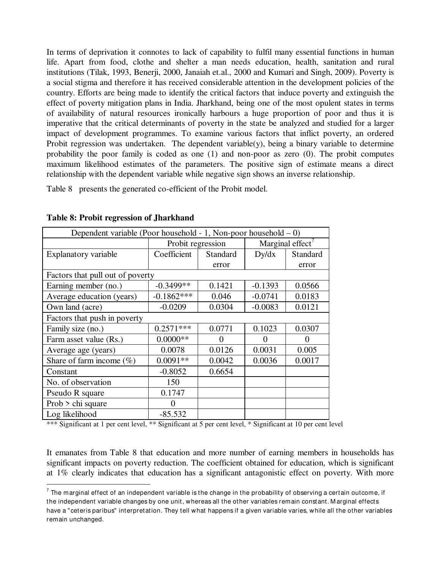In terms of deprivation it connotes to lack of capability to fulfil many essential functions in human life. Apart from food, clothe and shelter a man needs education, health, sanitation and rural institutions (Tilak, 1993, Benerji, 2000, Janaiah et.al., 2000 and Kumari and Singh, 2009). Poverty is a social stigma and therefore it has received considerable attention in the development policies of the country. Efforts are being made to identify the critical factors that induce poverty and extinguish the effect of poverty mitigation plans in India. Jharkhand, being one of the most opulent states in terms of availability of natural resources ironically harbours a huge proportion of poor and thus it is imperative that the critical determinants of poverty in the state be analyzed and studied for a larger impact of development programmes. To examine various factors that inflict poverty, an ordered Probit regression was undertaken. The dependent variable(y), being a binary variable to determine probability the poor family is coded as one (1) and non-poor as zero (0). The probit computes maximum likelihood estimates of the parameters. The positive sign of estimate means a direct relationship with the dependent variable while negative sign shows an inverse relationship.

Table 8 presents the generated co-efficient of the Probit model.

| Dependent variable (Poor household - 1, Non-poor household $- 0$ ) |              |                   |           |                              |  |  |
|--------------------------------------------------------------------|--------------|-------------------|-----------|------------------------------|--|--|
|                                                                    |              | Probit regression |           | Marginal effect <sup>7</sup> |  |  |
| <b>Explanatory variable</b>                                        | Coefficient  | Standard          | Dy/dx     | Standard                     |  |  |
|                                                                    |              | error             |           | error                        |  |  |
| Factors that pull out of poverty                                   |              |                   |           |                              |  |  |
| Earning member (no.)                                               | $-0.3499**$  | 0.1421            | $-0.1393$ | 0.0566                       |  |  |
| Average education (years)                                          | $-0.1862***$ | 0.046             | $-0.0741$ | 0.0183                       |  |  |
| Own land (acre)                                                    | $-0.0209$    | 0.0304            | $-0.0083$ | 0.0121                       |  |  |
| Factors that push in poverty                                       |              |                   |           |                              |  |  |
| Family size (no.)                                                  | $0.2571***$  | 0.0771            | 0.1023    | 0.0307                       |  |  |
| Farm asset value (Rs.)                                             | $0.0000**$   | $\theta$          | $\theta$  | $\theta$                     |  |  |
| Average age (years)                                                | 0.0078       | 0.0126            | 0.0031    | 0.005                        |  |  |
| Share of farm income $(\%)$                                        | $0.0091**$   | 0.0042            | 0.0036    | 0.0017                       |  |  |
| Constant                                                           | $-0.8052$    | 0.6654            |           |                              |  |  |
| No. of observation                                                 | 150          |                   |           |                              |  |  |
| Pseudo R square                                                    | 0.1747       |                   |           |                              |  |  |
| Prob > chi square                                                  |              |                   |           |                              |  |  |
| Log likelihood                                                     | $-85.532$    |                   |           |                              |  |  |

**Table 8: Probit regression of Jharkhand** 

-

\*\*\* Significant at 1 per cent level, \*\* Significant at 5 per cent level, \* Significant at 10 per cent level

It emanates from Table 8 that education and more number of earning members in households has significant impacts on poverty reduction. The coefficient obtained for education, which is significant at 1% clearly indicates that education has a significant antagonistic effect on poverty. With more

 $^7$  The marginal effect of an independent variable is the change in the probability of observing a certain outcome, if the independent variable changes by one unit, whereas all the other variables remain constant. M arginal effects have a "ceteris paribus" interpretation. They tell what happens if a given variable varies, while all the other variables remain unchanged.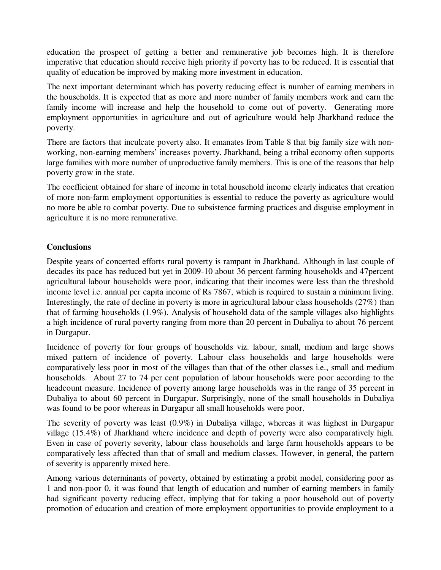education the prospect of getting a better and remunerative job becomes high. It is therefore imperative that education should receive high priority if poverty has to be reduced. It is essential that quality of education be improved by making more investment in education.

The next important determinant which has poverty reducing effect is number of earning members in the households. It is expected that as more and more number of family members work and earn the family income will increase and help the household to come out of poverty. Generating more employment opportunities in agriculture and out of agriculture would help Jharkhand reduce the poverty.

There are factors that inculcate poverty also. It emanates from Table 8 that big family size with nonworking, non-earning members' increases poverty. Jharkhand, being a tribal economy often supports large families with more number of unproductive family members. This is one of the reasons that help poverty grow in the state.

The coefficient obtained for share of income in total household income clearly indicates that creation of more non-farm employment opportunities is essential to reduce the poverty as agriculture would no more be able to combat poverty. Due to subsistence farming practices and disguise employment in agriculture it is no more remunerative.

## **Conclusions**

Despite years of concerted efforts rural poverty is rampant in Jharkhand. Although in last couple of decades its pace has reduced but yet in 2009-10 about 36 percent farming households and 47percent agricultural labour households were poor, indicating that their incomes were less than the threshold income level i.e. annual per capita income of Rs 7867, which is required to sustain a minimum living. Interestingly, the rate of decline in poverty is more in agricultural labour class households (27%) than that of farming households (1.9%). Analysis of household data of the sample villages also highlights a high incidence of rural poverty ranging from more than 20 percent in Dubaliya to about 76 percent in Durgapur.

Incidence of poverty for four groups of households viz. labour, small, medium and large shows mixed pattern of incidence of poverty. Labour class households and large households were comparatively less poor in most of the villages than that of the other classes i.e., small and medium households. About 27 to 74 per cent population of labour households were poor according to the headcount measure. Incidence of poverty among large households was in the range of 35 percent in Dubaliya to about 60 percent in Durgapur. Surprisingly, none of the small households in Dubaliya was found to be poor whereas in Durgapur all small households were poor.

The severity of poverty was least (0.9%) in Dubaliya village, whereas it was highest in Durgapur village (15.4%) of Jharkhand where incidence and depth of poverty were also comparatively high. Even in case of poverty severity, labour class households and large farm households appears to be comparatively less affected than that of small and medium classes. However, in general, the pattern of severity is apparently mixed here.

Among various determinants of poverty, obtained by estimating a probit model, considering poor as 1 and non-poor 0, it was found that length of education and number of earning members in family had significant poverty reducing effect, implying that for taking a poor household out of poverty promotion of education and creation of more employment opportunities to provide employment to a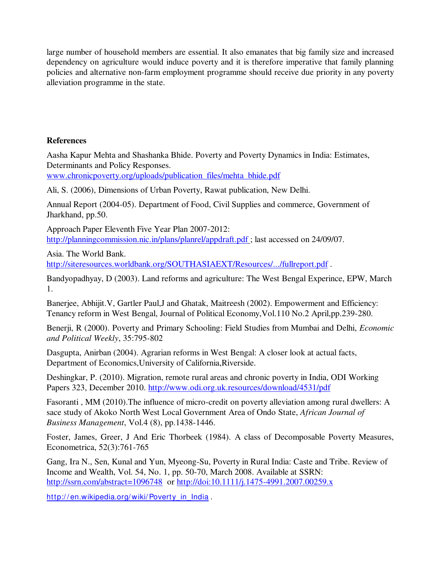large number of household members are essential. It also emanates that big family size and increased dependency on agriculture would induce poverty and it is therefore imperative that family planning policies and alternative non-farm employment programme should receive due priority in any poverty alleviation programme in the state.

## **References**

Aasha Kapur Mehta and Shashanka Bhide. Poverty and Poverty Dynamics in India: Estimates, Determinants and Policy Responses.

www.chronicpoverty.org/uploads/publication\_files/mehta\_bhide.pdf

Ali, S. (2006), Dimensions of Urban Poverty, Rawat publication, New Delhi.

Annual Report (2004-05). Department of Food, Civil Supplies and commerce, Government of Jharkhand, pp.50.

Approach Paper Eleventh Five Year Plan 2007-2012: http://planningcommission.nic.in/plans/planrel/appdraft.pdf; last accessed on 24/09/07.

Asia. The World Bank.

http://siteresources.worldbank.org/SOUTHASIAEXT/Resources/.../fullreport.pdf .

Bandyopadhyay, D (2003). Land reforms and agriculture: The West Bengal Experince, EPW, March 1.

Banerjee, Abhijit.V, Gartler Paul,J and Ghatak, Maitreesh (2002). Empowerment and Efficiency: Tenancy reform in West Bengal, Journal of Political Economy,Vol.110 No.2 April,pp.239-280.

Benerji, R (2000). Poverty and Primary Schooling: Field Studies from Mumbai and Delhi, *Economic and Political Weekly*, 35:795-802

Dasgupta, Anirban (2004). Agrarian reforms in West Bengal: A closer look at actual facts, Department of Economics,University of California,Riverside.

Deshingkar, P. (2010). Migration, remote rural areas and chronic poverty in India, ODI Working Papers 323, December 2010. http://www.odi.org.uk.resources/download/4531/pdf

Fasoranti , MM (2010).The influence of micro-credit on poverty alleviation among rural dwellers: A sace study of Akoko North West Local Government Area of Ondo State, *African Journal of Business Management*, Vol.4 (8), pp.1438-1446.

Foster, James, Greer, J And Eric Thorbeek (1984). A class of Decomposable Poverty Measures, Econometrica, 52(3):761-765

Gang, Ira N., Sen, Kunal and Yun, Myeong-Su, Poverty in Rural India: Caste and Tribe. Review of Income and Wealth, Vol. 54, No. 1, pp. 50-70, March 2008. Available at SSRN: http://ssrn.com/abstract=1096748 or http://doi:10.1111/j.1475-4991.2007.00259.x

http://en.wikipedia.org/wiki/Poverty\_in\_India .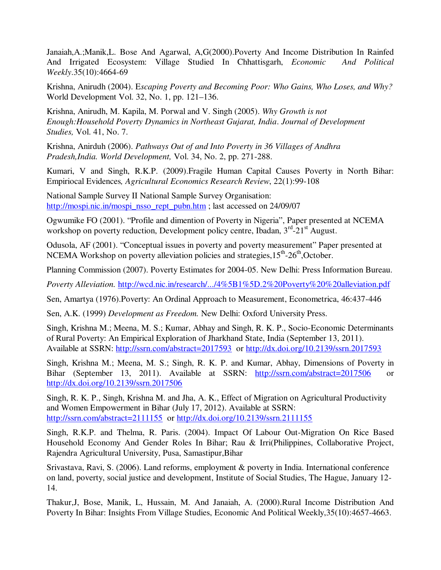Janaiah,A.;Manik,L. Bose And Agarwal, A,G(2000).Poverty And Income Distribution In Rainfed And Irrigated Ecosystem: Village Studied In Chhattisgarh, *Economic And Political Weekly*.35(10):4664-69

Krishna, Anirudh (2004). E*scaping Poverty and Becoming Poor: Who Gains, Who Loses, and Why?*  World Development Vol. 32, No. 1, pp. 121–136.

Krishna, Anirudh, M. Kapila, M. Porwal and V. Singh (2005). *Why Growth is not Enough:Household Poverty Dynamics in Northeast Gujarat, India*. *Journal of Development Studies,* Vol. 41, No. 7.

Krishna, Anirduh (2006). *Pathways Out of and Into Poverty in 36 Villages of Andhra Pradesh,India. World Development,* Vol. 34, No. 2, pp. 271-288.

Kumari, V and Singh, R.K.P. (2009).Fragile Human Capital Causes Poverty in North Bihar: Empiriocal Evidences*, Agricultural Economics Research Review*, 22(1):99-108

National Sample Survey II National Sample Survey Organisation: http://mospi.nic.in/mospi\_nsso\_rept\_pubn.htm ; last accessed on 24/09/07

Ogwumike FO (2001). "Profile and dimention of Poverty in Nigeria", Paper presented at NCEMA workshop on poverty reduction, Development policy centre, Ibadan, 3<sup>rd</sup>-21<sup>st</sup> August.

Odusola, AF (2001). "Conceptual issues in poverty and poverty measurement" Paper presented at NCEMA Workshop on poverty alleviation policies and strategies,  $15^{th}$ -26<sup>th</sup>, October.

Planning Commission (2007). Poverty Estimates for 2004-05. New Delhi: Press Information Bureau.

*Poverty Alleviation.* http://wcd.nic.in/research/.../4%5B1%5D.2%20Poverty%20%20alleviation.pdf

Sen, Amartya (1976).Poverty: An Ordinal Approach to Measurement, Econometrica, 46:437-446

Sen, A.K. (1999) *Development as Freedom.* New Delhi: Oxford University Press.

Singh, Krishna M.; Meena, M. S.; Kumar, Abhay and Singh, R. K. P., Socio-Economic Determinants of Rural Poverty: An Empirical Exploration of Jharkhand State, India (September 13, 2011). Available at SSRN: http://ssrn.com/abstract=2017593 or http://dx.doi.org/10.2139/ssrn.2017593

Singh, Krishna M.; Meena, M. S.; Singh, R. K. P. and Kumar, Abhay, Dimensions of Poverty in Bihar (September 13, 2011). Available at SSRN: http://ssrn.com/abstract=2017506 or http://dx.doi.org/10.2139/ssrn.2017506

Singh, R. K. P., Singh, Krishna M. and Jha, A. K., Effect of Migration on Agricultural Productivity and Women Empowerment in Bihar (July 17, 2012). Available at SSRN: http://ssrn.com/abstract=2111155 or http://dx.doi.org/10.2139/ssrn.2111155

Singh, R.K.P. and Thelma, R. Paris. (2004). Impact Of Labour Out-Migration On Rice Based Household Economy And Gender Roles In Bihar; Rau & Irri(Philippines, Collaborative Project, Rajendra Agricultural University, Pusa, Samastipur,Bihar

Srivastava, Ravi, S. (2006). Land reforms, employment & poverty in India. International conference on land, poverty, social justice and development, Institute of Social Studies, The Hague, January 12- 14.

Thakur,J, Bose, Manik, L, Hussain, M. And Janaiah, A. (2000).Rural Income Distribution And Poverty In Bihar: Insights From Village Studies, Economic And Political Weekly,35(10):4657-4663.